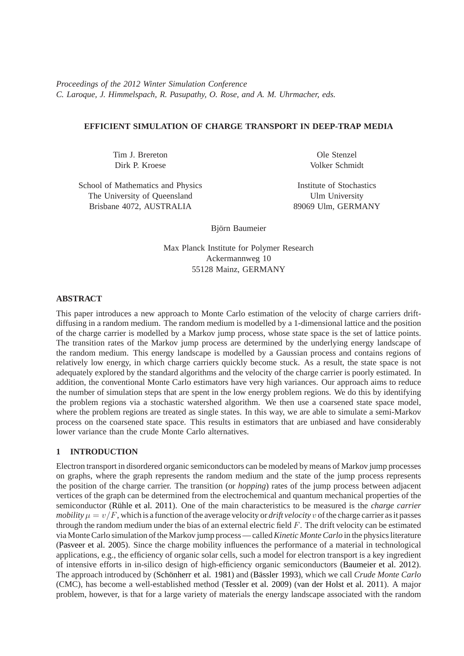*Proceedings of the 2012 Winter Simulation Conference C. Laroque, J. Himmelspach, R. Pasupathy, O. Rose, and A. M. Uhrmacher, eds.*

# **EFFICIENT SIMULATION OF CHARGE TRANSPORT IN DEEP-TRAP MEDIA**

Tim J. Brereton Dirk P. Kroese

School of Mathematics and Physics The University of Queensland Brisbane 4072, AUSTRALIA

Ole Stenzel Volker Schmidt

Institute of Stochastics Ulm University 89069 Ulm, GERMANY

Björn Baumeier

Max Planck Institute for Polymer Research Ackermannweg 10 55128 Mainz, GERMANY

## **ABSTRACT**

This paper introduces a new approach to Monte Carlo estimation of the velocity of charge carriers driftdiffusing in a random medium. The random medium is modelled by a 1-dimensional lattice and the position of the charge carrier is modelled by a Markov jump process, whose state space is the set of lattice points. The transition rates of the Markov jump process are determined by the underlying energy landscape of the random medium. This energy landscape is modelled by a Gaussian process and contains regions of relatively low energy, in which charge carriers quickly become stuck. As a result, the state space is not adequately explored by the standard algorithms and the velocity of the charge carrier is poorly estimated. In addition, the conventional Monte Carlo estimators have very high variances. Our approach aims to reduce the number of simulation steps that are spent in the low energy problem regions. We do this by identifying the problem regions via a stochastic watershed algorithm. We then use a coarsened state space model, where the problem regions are treated as single states. In this way, we are able to simulate a semi-Markov process on the coarsened state space. This results in estimators that are unbiased and have considerably lower variance than the crude Monte Carlo alternatives.

# **1 INTRODUCTION**

Electron transport in disordered organic semiconductors can be modeled by means of Markov jump processes on graphs, where the graph represents the random medium and the state of the jump process represents the position of the charge carrier. The transition (or *hopping*) rates of the jump process between adjacent vertices of the graph can be determined from the electrochemical and quantum mechanical properties of the semiconductor (Rühle et al. 2011). One of the main characteristics to be measured is the *charge carrier mobility*  $\mu = v/F$ , which is a function of the average velocity or *drift velocity* v of the charge carrier as it passes through the random medium under the bias of an external electric field  $F$ . The drift velocity can be estimated via Monte Carlo simulation of the Markov jump process — called*Kinetic Monte Carlo* in the physics literature [\(Pasveer et al. 2005\)](#page-10-1). Since the charge mobility influences the performance of a material in technological applications, e.g., the efficiency of organic solar cells, such a model for electron transport is a key ingredient of intensive efforts in in-silico design of high-efficiency organic semiconductors [\(Baumeier et al. 2012\)](#page-10-2). The approach introduced by (Schönherr et al. 1981) and (Bässler 1993), which we call *Crude Monte Carlo* (CMC), has become a well-established method [\(Tessler et al. 2009\)](#page-10-5) [\(van der Holst et al. 2011\)](#page-10-6). A major problem, however, is that for a large variety of materials the energy landscape associated with the random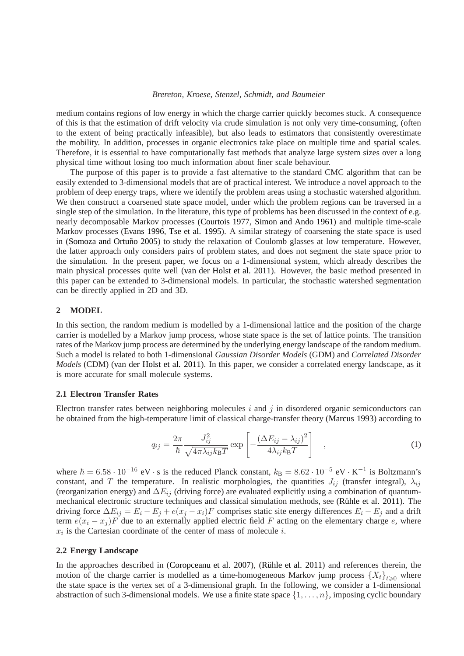medium contains regions of low energy in which the charge carrier quickly becomes stuck. A consequence of this is that the estimation of drift velocity via crude simulation is not only very time-consuming, (often to the extent of being practically infeasible), but also leads to estimators that consistently overestimate the mobility. In addition, processes in organic electronics take place on multiple time and spatial scales. Therefore, it is essential to have computationally fast methods that analyze large system sizes over a long physical time without losing too much information about finer scale behaviour.

The purpose of this paper is to provide a fast alternative to the standard CMC algorithm that can be easily extended to 3-dimensional models that are of practical interest. We introduce a novel approach to the problem of deep energy traps, where we identify the problem areas using a stochastic watershed algorithm. We then construct a coarsened state space model, under which the problem regions can be traversed in a single step of the simulation. In the literature, this type of problems has been discussed in the context of e.g. nearly decomposable Markov processes [\(Courtois 1977,](#page-10-7) [Simon and Ando 1961\)](#page-10-8) and multiple time-scale Markov processes [\(Evans 1996,](#page-10-9) [Tse et al. 1995\)](#page-10-10). A similar strategy of coarsening the state space is used in (Somoza and Ortuño 2005) to study the relaxation of Coulomb glasses at low temperature. However, the latter approach only considers pairs of problem states, and does not segment the state space prior to the simulation. In the present paper, we focus on a 1-dimensional system, which already describes the main physical processes quite well [\(van der Holst et al. 2011\)](#page-10-6). However, the basic method presented in this paper can be extended to 3-dimensional models. In particular, the stochastic watershed segmentation can be directly applied in 2D and 3D.

## **2 MODEL**

In this section, the random medium is modelled by a 1-dimensional lattice and the position of the charge carrier is modelled by a Markov jump process, whose state space is the set of lattice points. The transition rates of the Markov jump process are determined by the underlying energy landscape of the random medium. Such a model is related to both 1-dimensional *Gaussian Disorder Models* (GDM) and *Correlated Disorder Models* (CDM) [\(van der Holst et al. 2011\)](#page-10-6). In this paper, we consider a correlated energy landscape, as it is more accurate for small molecule systems.

### **2.1 Electron Transfer Rates**

Electron transfer rates between neighboring molecules  $i$  and  $j$  in disordered organic semiconductors can be obtained from the high-temperature limit of classical charge-transfer theory [\(Marcus 1993\)](#page-10-12) according to

<span id="page-1-0"></span>
$$
q_{ij} = \frac{2\pi}{\hbar} \frac{J_{ij}^2}{\sqrt{4\pi\lambda_{ij}k_{\rm B}T}} \exp\left[-\frac{(\Delta E_{ij} - \lambda_{ij})^2}{4\lambda_{ij}k_{\rm B}T}\right] , \qquad (1)
$$

where  $\hbar = 6.58 \cdot 10^{-16}$  eV · s is the reduced Planck constant,  $k_B = 8.62 \cdot 10^{-5}$  eV · K<sup>-1</sup> is Boltzmann's constant, and T the temperature. In realistic morphologies, the quantities  $J_{ij}$  (transfer integral),  $\lambda_{ij}$ (reorganization energy) and  $\Delta E_{ij}$  (driving force) are evaluated explicitly using a combination of quantummechanical electronic structure techniques and classical simulation methods, see (Rühle et al. 2011). The driving force  $\Delta E_{ij} = E_i - E_j + e(x_j - x_i)F$  comprises static site energy differences  $E_i - E_j$  and a drift term  $e(x_i - x_j)F$  due to an externally applied electric field F acting on the elementary charge e, where  $x_i$  is the Cartesian coordinate of the center of mass of molecule i.

### **2.2 Energy Landscape**

In the approaches described in [\(Coropceanu et al. 2007\)](#page-10-13), (Rühle et al. 2011) and references therein, the motion of the charge carrier is modelled as a time-homogeneous Markov jump process  $\{X_t\}_{t>0}$  where the state space is the vertex set of a 3-dimensional graph. In the following, we consider a 1-dimensional abstraction of such 3-dimensional models. We use a finite state space  $\{1, \ldots, n\}$ , imposing cyclic boundary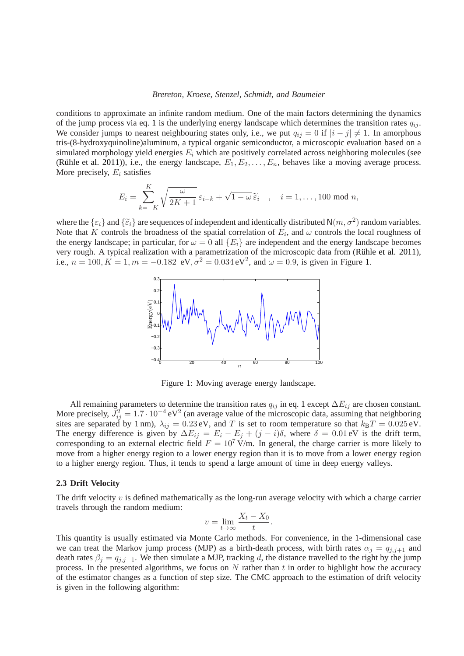conditions to approximate an infinite random medium. One of the main factors determining the dynamics of the jump process via eq. [1](#page-1-0) is the underlying energy landscape which determines the transition rates  $q_{ij}$ . We consider jumps to nearest neighbouring states only, i.e., we put  $q_{ij} = 0$  if  $|i - j| \neq 1$ . In amorphous tris-(8-hydroxyquinoline)aluminum, a typical organic semiconductor, a microscopic evaluation based on a simulated morphology yield energies  $E_i$  which are positively correlated across neighboring molecules (see (Rühle et al. 2011)), i.e., the energy landscape,  $E_1, E_2, \ldots, E_n$ , behaves like a moving average process. More precisely,  $E_i$  satisfies

$$
E_i = \sum_{k=-K}^{K} \sqrt{\frac{\omega}{2K+1}} \varepsilon_{i-k} + \sqrt{1-\omega} \, \widetilde{\varepsilon}_i \quad , \quad i = 1, \dots, 100 \text{ mod } n,
$$

where the  $\{\varepsilon_i\}$  and  $\{\tilde{\varepsilon}_i\}$  are sequences of independent and identically distributed  $N(m, \sigma^2)$  random variables. Note that K controls the broadness of the spatial correlation of  $E_i$ , and  $\omega$  controls the local roughness of the energy landscape; in particular, for  $\omega = 0$  all  $\{E_i\}$  are independent and the energy landscape becomes very rough. A typical realization with a parametrization of the microscopic data from (Rühle et al. 2011), i.e.,  $n = 100, K = 1, m = -0.182 \text{ eV}, \sigma^2 = 0.034 \text{ eV}^2$ , and  $\omega = 0.9$ , is given in Figure [1.](#page-2-0)



<span id="page-2-0"></span>Figure 1: Moving average energy landscape.

All remaining parameters to determine the transition rates  $q_{ij}$  in eq. [1](#page-1-0) except  $\Delta E_{ij}$  are chosen constant. More precisely,  $J_{ij}^2 = 1.7 \cdot 10^{-4} \text{ eV}^2$  (an average value of the microscopic data, assuming that neighboring sites are separated by 1 nm),  $\lambda_{ij} = 0.23 \text{ eV}$ , and T is set to room temperature so that  $k_B T = 0.025 \text{ eV}$ . The energy difference is given by  $\Delta E_{ij} = E_i - E_j + (j - i)\delta$ , where  $\delta = 0.01$  eV is the drift term, corresponding to an external electric field  $F = 10^7$  V/m. In general, the charge carrier is more likely to move from a higher energy region to a lower energy region than it is to move from a lower energy region to a higher energy region. Thus, it tends to spend a large amount of time in deep energy valleys.

## <span id="page-2-1"></span>**2.3 Drift Velocity**

The drift velocity  $v$  is defined mathematically as the long-run average velocity with which a charge carrier travels through the random medium:

$$
v = \lim_{t \to \infty} \frac{X_t - X_0}{t}.
$$

This quantity is usually estimated via Monte Carlo methods. For convenience, in the 1-dimensional case we can treat the Markov jump process (MJP) as a birth-death process, with birth rates  $\alpha_j = q_{j,j+1}$  and death rates  $\beta_i = q_{i,i-1}$ . We then simulate a MJP, tracking d, the distance travelled to the right by the jump process. In the presented algorithms, we focus on  $N$  rather than  $t$  in order to highlight how the accuracy of the estimator changes as a function of step size. The CMC approach to the estimation of drift velocity is given in the following algorithm: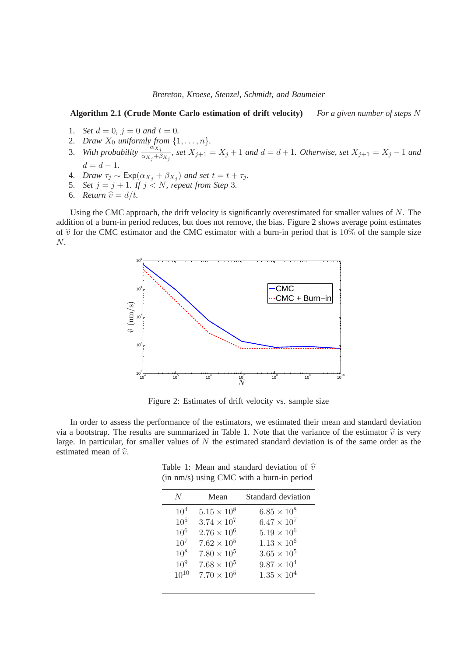#### **Algorithm 2.1 (Crude Monte Carlo estimation of drift velocity)** *For a given number of steps* N

- 1. *Set*  $d = 0$ ,  $j = 0$  *and*  $t = 0$ .
- 2. *Draw*  $X_0$  *uniformly from*  $\{1, \ldots, n\}$ *.*
- 3. With probability  $\frac{\alpha_{X_j}}{\alpha_{X_j}+\beta_{X_j}}$  $\frac{dX_j}{dx_j + \beta_{X_j}}$ , set  $X_{j+1} = X_j + 1$  and  $d = d + 1$ . Otherwise, set  $X_{j+1} = X_j - 1$  and  $d = d - 1.$
- 4. *Draw*  $\tau_j \sim \text{Exp}(\alpha_{X_j} + \beta_{X_j})$  *and set*  $t = t + \tau_j$ *.*
- 5. *Set*  $j = j + 1$ *. If*  $j < N$ *, repeat from Step 3.*
- 6. *Return*  $\hat{v} = d/t$ .

Using the CMC approach, the drift velocity is significantly overestimated for smaller values of N. The addition of a burn-in period reduces, but does not remove, the bias. Figure [2](#page-3-0) shows average point estimates of  $\hat{v}$  for the CMC estimator and the CMC estimator with a burn-in period that is 10% of the sample size N.



<span id="page-3-0"></span>Figure 2: Estimates of drift velocity vs. sample size

In order to assess the performance of the estimators, we estimated their mean and standard deviation via a bootstrap. The results are summarized in Table [1.](#page-3-1) Note that the variance of the estimator  $\hat{v}$  is very large. In particular, for smaller values of  $N$  the estimated standard deviation is of the same order as the estimated mean of  $\hat{v}$ .

<span id="page-3-1"></span>Table 1: Mean and standard deviation of  $\hat{v}$ (in nm/s) using CMC with a burn-in period

| N               | Mean                 | Standard deviation   |
|-----------------|----------------------|----------------------|
| 10 <sup>4</sup> | $5.15 \times 10^8$   | $6.85 \times 10^{8}$ |
| $10^{5}$        | $3.74 \times 10^{7}$ | $6.47 \times 10^{7}$ |
| $10^{6}$        | $2.76 \times 10^{6}$ | $5.19 \times 10^{6}$ |
| $10^{7}$        | $7.62 \times 10^{5}$ | $1.13 \times 10^{6}$ |
| $10^{8}$        | $7.80 \times 10^5$   | $3.65 \times 10^{5}$ |
| $10^{9}$        | $7.68 \times 10^5$   | $9.87 \times 10^{4}$ |
| $10^{10}$       | $7.70 \times 10^5$   | $1.35 \times 10^{4}$ |
|                 |                      |                      |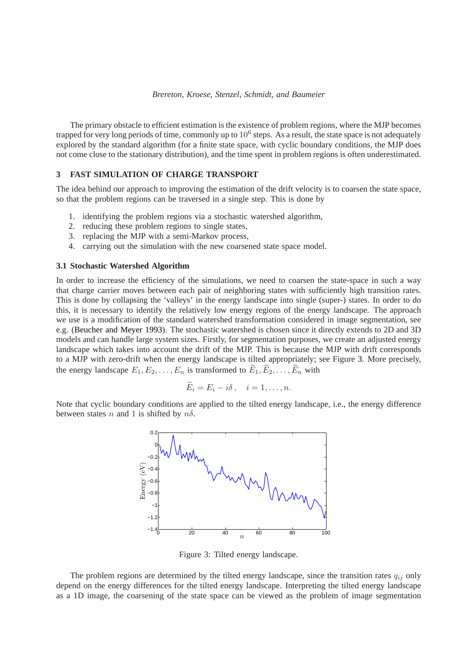The primary obstacle to efficient estimation is the existence of problem regions, where the MJP becomes trapped for very long periods of time, commonly up to  $10^6$  steps. As a result, the state space is not adequately explored by the standard algorithm (for a finite state space, with cyclic boundary conditions, the MJP does not come close to the stationary distribution), and the time spent in problem regions is often underestimated.

## **3 FAST SIMULATION OF CHARGE TRANSPORT**

The idea behind our approach to improving the estimation of the drift velocity is to coarsen the state space, so that the problem regions can be traversed in a single step. This is done by

- 1. identifying the problem regions via a stochastic watershed algorithm,
- 2. reducing these problem regions to single states,
- 3. replacing the MJP with a semi-Markov process,
- 4. carrying out the simulation with the new coarsened state space model.

#### **3.1 Stochastic Watershed Algorithm**

In order to increase the efficiency of the simulations, we need to coarsen the state-space in such a way that charge carrier moves between each pair of neighboring states with sufficiently high transition rates. This is done by collapsing the 'valleys' in the energy landscape into single (super-) states. In order to do this, it is necessary to identify the relatively low energy regions of the energy landscape. The approach we use is a modification of the standard watershed transformation considered in image segmentation, see e.g. [\(Beucher and Meyer 1993\)](#page-10-14). The stochastic watershed is chosen since it directly extends to 2D and 3D models and can handle large system sizes. Firstly, for segmentation purposes, we create an adjusted energy landscape which takes into account the drift of the MJP. This is because the MJP with drift corresponds to a MJP with zero-drift when the energy landscape is tilted appropriately; see Figure [3.](#page-4-0) More precisely, the energy landscape  $E_1, E_2, \ldots, E_n$  is transformed to  $E_1, E_2, \ldots, E_n$  with

$$
E_i = E_i - i\delta \,, \quad i = 1, \dots, n.
$$

Note that cyclic boundary conditions are applied to the tilted energy landscape, i.e., the energy difference between states n and 1 is shifted by  $n\delta$ .



<span id="page-4-0"></span>Figure 3: Tilted energy landscape.

The problem regions are determined by the tilted energy landscape, since the transition rates  $q_{ij}$  only depend on the energy differences for the tilted energy landscape. Interpreting the tilted energy landscape as a 1D image, the coarsening of the state space can be viewed as the problem of image segmentation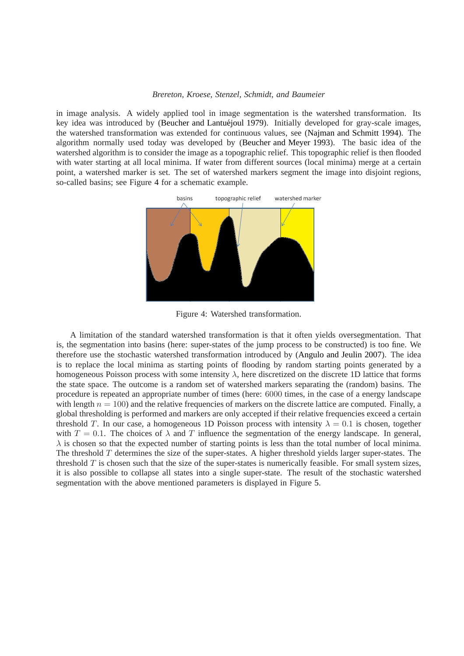in image analysis. A widely applied tool in image segmentation is the watershed transformation. Its key idea was introduced by (Beucher and Lantuéjoul 1979). Initially developed for gray-scale images, the watershed transformation was extended for continuous values, see [\(Najman and Schmitt 1994\)](#page-10-16). The algorithm normally used today was developed by [\(Beucher and Meyer 1993\)](#page-10-14). The basic idea of the watershed algorithm is to consider the image as a topographic relief. This topographic relief is then flooded with water starting at all local minima. If water from different sources (local minima) merge at a certain point, a watershed marker is set. The set of watershed markers segment the image into disjoint regions, so-called basins; see Figure [4](#page-5-0) for a schematic example.



<span id="page-5-0"></span>Figure 4: Watershed transformation.

A limitation of the standard watershed transformation is that it often yields oversegmentation. That is, the segmentation into basins (here: super-states of the jump process to be constructed) is too fine. We therefore use the stochastic watershed transformation introduced by [\(Angulo and Jeulin 2007\)](#page-10-17). The idea is to replace the local minima as starting points of flooding by random starting points generated by a homogeneous Poisson process with some intensity  $\lambda$ , here discretized on the discrete 1D lattice that forms the state space. The outcome is a random set of watershed markers separating the (random) basins. The procedure is repeated an appropriate number of times (here: 6000 times, in the case of a energy landscape with length  $n = 100$ ) and the relative frequencies of markers on the discrete lattice are computed. Finally, a global thresholding is performed and markers are only accepted if their relative frequencies exceed a certain threshold T. In our case, a homogeneous 1D Poisson process with intensity  $\lambda = 0.1$  is chosen, together with  $T = 0.1$ . The choices of  $\lambda$  and T influence the segmentation of the energy landscape. In general,  $\lambda$  is chosen so that the expected number of starting points is less than the total number of local minima. The threshold  $T$  determines the size of the super-states. A higher threshold yields larger super-states. The threshold  $T$  is chosen such that the size of the super-states is numerically feasible. For small system sizes, it is also possible to collapse all states into a single super-state. The result of the stochastic watershed segmentation with the above mentioned parameters is displayed in Figure [5.](#page-6-0)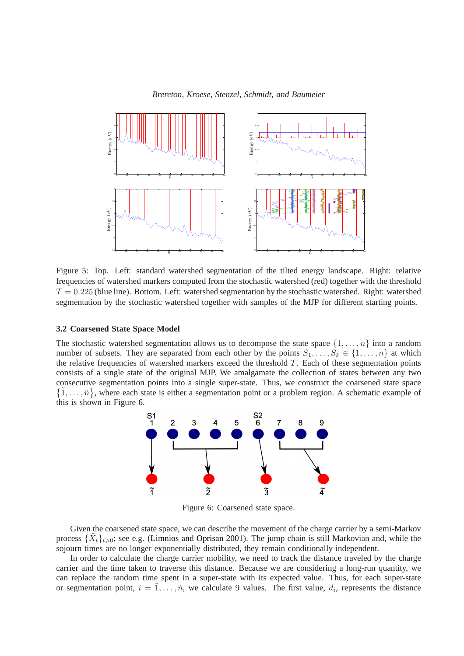

<span id="page-6-0"></span>Figure 5: Top. Left: standard watershed segmentation of the tilted energy landscape. Right: relative frequencies of watershed markers computed from the stochastic watershed (red) together with the threshold  $T = 0.225$  (blue line). Bottom. Left: watershed segmentation by the stochastic watershed. Right: watershed segmentation by the stochastic watershed together with samples of the MJP for different starting points.

## **3.2 Coarsened State Space Model**

The stochastic watershed segmentation allows us to decompose the state space  $\{1, \ldots, n\}$  into a random number of subsets. They are separated from each other by the points  $S_1, \ldots, S_k \in \{1, \ldots, n\}$  at which the relative frequencies of watershed markers exceed the threshold  $T$ . Each of these segmentation points consists of a single state of the original MJP. We amalgamate the collection of states between any two consecutive segmentation points into a single super-state. Thus, we construct the coarsened state space  $\{\tilde{1}, \ldots, \tilde{n}\}$ , where each state is either a segmentation point or a problem region. A schematic example of this is shown in Figure [6.](#page-6-1)



<span id="page-6-1"></span>Figure 6: Coarsened state space.

Given the coarsened state space, we can describe the movement of the charge carrier by a semi-Markov process  $\{\tilde{X}_t\}_{t\geqslant0}$ ; see e.g. [\(Limnios and Oprisan 2001\)](#page-10-18). The jump chain is still Markovian and, while the sojourn times are no longer exponentially distributed, they remain conditionally independent.

In order to calculate the charge carrier mobility, we need to track the distance traveled by the charge carrier and the time taken to traverse this distance. Because we are considering a long-run quantity, we can replace the random time spent in a super-state with its expected value. Thus, for each super-state or segmentation point,  $i = \tilde{1}, \ldots, \tilde{n}$ , we calculate 9 values. The first value,  $d_i$ , represents the distance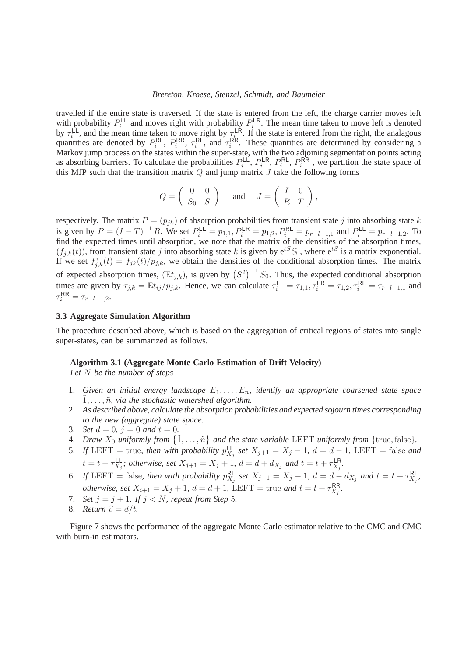travelled if the entire state is traversed. If the state is entered from the left, the charge carrier moves left with probability  $P_i^{\mathsf{LL}}$  $P_i^{\text{LL}}$  and moves right with probability  $P_i^{\text{LR}}$ <sup>LR</sup>. The mean time taken to move left is denoted by  $\tau_i^{\text{LL}}$  $\mathcal{L}_i^{\text{LL}}$ , and the mean time taken to move right by  $\tau_i^{\text{LR}}$ <sup>LR</sup>. If the state is entered from the right, the analagous quantities are denoted by  $P_i^{\text{RL}}$  $P_i^{\text{RL}}, P_i^{\text{RR}}$  $\tau_i^{\mathsf{RR}}, \tau_i^{\mathsf{RL}}$  $\tau_i^{\text{RL}}$ , and  $\tau_i^{\text{RR}}$  $i<sup>RR</sup>$ . These quantities are determined by considering a Markov jump process on the states within the super-state, with the two adjoining segmentation points acting as absorbing barriers. To calculate the probabilities  $P_i^{\text{LL}}$  $P_i^{\text{LL}}, P_i^{\text{LR}}$  $P_i^{\text{LR}}, P_i^{\text{RL}}$  $P^{\mathsf{RL}}_i, P^{\mathsf{\tilde{R}R}}_i$  $i^{RIR}$ , we partition the state space of this MJP such that the transition matrix  $Q$  and jump matrix  $J$  take the following forms

$$
Q = \begin{pmatrix} 0 & 0 \\ S_0 & S \end{pmatrix} \quad \text{and} \quad J = \begin{pmatrix} I & 0 \\ R & T \end{pmatrix},
$$

respectively. The matrix  $P = (p_{jk})$  of absorption probabilities from transient state j into absorbing state k is given by  $P = (I - T)^{-1} R$ . We set  $P_i^{\text{LL}} = p_{1,1}, P_i^{\text{LR}} = p_{1,2}, P_i^{\text{RL}} = p_{r-l-1,1}$  and  $P_i^{\text{LL}} = p_{r-l-1,2}$ . To find the expected times until absorption, we note that the matrix of the densities of the absorption times,  $(f_{j,k}(t))$ , from transient state j into absorbing state k is given by  $e^{tS}S_0$ , where  $e^{tS}$  is a matrix exponential. If we set  $f_{j,k}^{\tau}(t) = f_{jk}(t)/p_{j,k}$ , we obtain the densities of the conditional absorption times. The matrix of expected absorption times,  $(\mathbb{E}t_{j,k})$ , is given by  $(S^2)^{-1}S_0$ . Thus, the expected conditional absorption times are given by  $\tau_{j,k} = \mathbb{E} t_{ij}/p_{j,k}$ . Hence, we can calculate  $\tau_i^{\mathsf{LL}} = \tau_{1,1}, \tau_i^{\mathsf{LR}} = \tau_{1,2}, \tau_i^{\mathsf{RL}} = \tau_{r-l-1,1}$  and  $\tau_i^{\sf RR} = \tau_{r-l-1,2}.$ 

# **3.3 Aggregate Simulation Algorithm**

The procedure described above, which is based on the aggregation of critical regions of states into single super-states, can be summarized as follows.

### **Algorithm 3.1 (Aggregate Monte Carlo Estimation of Drift Velocity)**

*Let* N *be the number of steps*

- 1. Given an initial energy landscape  $E_1, \ldots, E_n$ , identify an appropriate coarsened state space  $\tilde{1}, \ldots, \tilde{n}$ *, via the stochastic watershed algorithm.*
- 2. *As described above, calculate the absorption probabilities and expected sojourn times corresponding to the new (aggregate) state space.*
- 3. *Set*  $d = 0$ ,  $j = 0$  *and*  $t = 0$ .
- 4. *Draw*  $X_0$  *uniformly from*  $\{\tilde{1}, \ldots, \tilde{n}\}$  *and the state variable* LEFT *uniformly from* {true, false}.
- 5. If LEFT = true, then with probability  $p_X^{\text{LL}}$  $\sum_{X_j}$  *set*  $X_{j+1} = X_j - 1$ *, d* = *d* − 1*,* LEFT = false *and*  $t = t + \tau_{X_i}^{\text{LL}}$  $\sum_{X_j}^{\text{LL}}$ ; otherwise, set  $X_{j+1} = X_j + 1$ ,  $d = d + d_{X_j}$  and  $t = t + \tau_{X_j}^{\text{LR}}$ X<sup>j</sup> *.*
- 6. If LEFT = false, then with probability  $p_{X_i}^{\text{RL}}$  $\frac{R}{X_j}$  set  $X_{j+1} = X_j - 1$ ,  $d = d - d_{X_j}$  and  $t = t + \tau_{X_j}^{R}$ .rl ;<br>*X <sub>j</sub>* ; *otherwise, set*  $X_{i+1} = X_j + 1$ ,  $d = d + 1$ ,  $\overline{\text{LEFT}} = \text{true}$  and  $t = t + \tau_{X_i}^{\text{RR}}$ .rr<br>*X<sub>j</sub>* ·
- 7. *Set*  $j = j + 1$ *. If*  $j < N$ *, repeat from Step 5.*
- 8. *Return*  $\hat{v} = d/t$ .

Figure [7](#page-8-0) shows the performance of the aggregate Monte Carlo estimator relative to the CMC and CMC with burn-in estimators.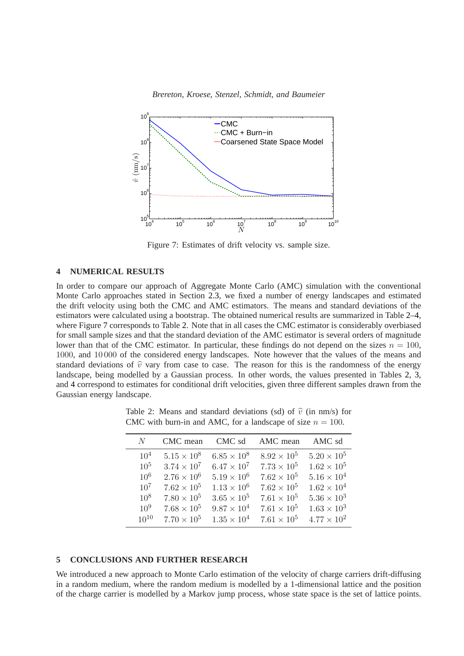

<span id="page-8-0"></span>Figure 7: Estimates of drift velocity vs. sample size.

# **4 NUMERICAL RESULTS**

In order to compare our approach of Aggregate Monte Carlo (AMC) simulation with the conventional Monte Carlo approaches stated in Section [2.3,](#page-2-1) we fixed a number of energy landscapes and estimated the drift velocity using both the CMC and AMC estimators. The means and standard deviations of the estimators were calculated using a bootstrap. The obtained numerical results are summarized in Table [2](#page-8-1)[–4,](#page-9-0) where Figure [7](#page-8-0) corresponds to Table [2.](#page-8-1) Note that in all cases the CMC estimator is considerably overbiased for small sample sizes and that the standard deviation of the AMC estimator is several orders of magnitude lower than that of the CMC estimator. In particular, these findings do not depend on the sizes  $n = 100$ . 1000, and 10 000 of the considered energy landscapes. Note however that the values of the means and standard deviations of  $\hat{v}$  vary from case to case. The reason for this is the randomness of the energy landscape, being modelled by a Gaussian process. In other words, the values presented in Tables [2,](#page-8-1) [3,](#page-9-1) and [4](#page-9-0) correspond to estimates for conditional drift velocities, given three different samples drawn from the Gaussian energy landscape.

<span id="page-8-1"></span>Table 2: Means and standard deviations (sd) of  $\hat{v}$  (in nm/s) for CMC with burn-in and AMC, for a landscape of size  $n = 100$ .

| N.              | CMC mean             | CMC sd               | AMC mean             | AMC sd               |
|-----------------|----------------------|----------------------|----------------------|----------------------|
| 10 <sup>4</sup> | $5.15 \times 10^8$   | $6.85 \times 10^8$   | $8.92 \times 10^{5}$ | $5.20 \times 10^{5}$ |
| $10^{5}$        | $3.74 \times 10^{7}$ | $6.47 \times 10^{7}$ | $7.73 \times 10^{5}$ | $1.62 \times 10^{5}$ |
| $10^{6}$        | $2.76 \times 10^6$   | $5.19 \times 10^{6}$ | $7.62 \times 10^{5}$ | $5.16 \times 10^{4}$ |
| $10^{7}$        | $7.62 \times 10^5$   | $1.13 \times 10^{6}$ | $7.62 \times 10^{5}$ | $1.62 \times 10^{4}$ |
| $10^{8}$        | $7.80 \times 10^5$   | $3.65 \times 10^{5}$ | $7.61 \times 10^{5}$ | $5.36 \times 10^{3}$ |
| $10^{9}$        | $7.68 \times 10^5$   | $9.87 \times 10^{4}$ | $7.61 \times 10^{5}$ | $1.63 \times 10^{3}$ |
| $10^{10}$       | $7.70 \times 10^5$   | $1.35 \times 10^{4}$ | $7.61 \times 10^{5}$ | $4.77 \times 10^{2}$ |

## **5 CONCLUSIONS AND FURTHER RESEARCH**

We introduced a new approach to Monte Carlo estimation of the velocity of charge carriers drift-diffusing in a random medium, where the random medium is modelled by a 1-dimensional lattice and the position of the charge carrier is modelled by a Markov jump process, whose state space is the set of lattice points.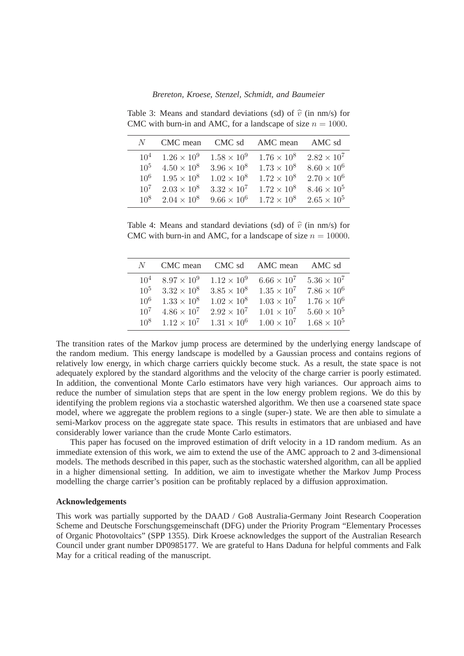| N.       | CMC mean             | CMC sd               | AMC mean             | AMC sd               |
|----------|----------------------|----------------------|----------------------|----------------------|
| $10^4$   | $1.26 \times 10^{9}$ | $1.58 \times 10^{9}$ | $1.76 \times 10^8$   | $2.82 \times 10^7$   |
| $10^{5}$ | $4.50 \times 10^8$   | $3.96 \times 10^8$   | $1.73 \times 10^8$   | $8.60 \times 10^{6}$ |
| $10^{6}$ | $1.95 \times 10^8$   | $1.02 \times 10^8$   | $1.72 \times 10^{8}$ | $2.70 \times 10^{6}$ |
| $10^{7}$ | $2.03 \times 10^8$   | $3.32 \times 10^{7}$ | $1.72 \times 10^8$   | $8.46 \times 10^{5}$ |
| $10^{8}$ | $2.04 \times 10^8$   | $9.66 \times 10^6$   | $1.72 \times 10^8$   | $2.65 \times 10^5$   |

<span id="page-9-1"></span>Table 3: Means and standard deviations (sd) of  $\hat{v}$  (in nm/s) for CMC with burn-in and AMC, for a landscape of size  $n = 1000$ .

<span id="page-9-0"></span>Table 4: Means and standard deviations (sd) of  $\hat{v}$  (in nm/s) for CMC with burn-in and AMC, for a landscape of size  $n = 10000$ .

| $N_{-}$         | CMC mean             | CMC sd               | AMC mean             | AMC sd               |
|-----------------|----------------------|----------------------|----------------------|----------------------|
| 10 <sup>4</sup> | $8.97 \times 10^{9}$ | $1.12 \times 10^{9}$ | $6.66 \times 10^{7}$ | $5.36 \times 10^{7}$ |
| $10^{5}$        | $3.32 \times 10^8$   | $3.85 \times 10^{8}$ | $1.35 \times 10^{7}$ | $7.86 \times 10^{6}$ |
| $10^{6}$        | $1.33 \times 10^8$   | $1.02 \times 10^8$   | $1.03 \times 10^{7}$ | $1.76 \times 10^{6}$ |
| $10^{7}$        | $4.86 \times 10^{7}$ | $2.92 \times 10^{7}$ | $1.01 \times 10^{7}$ | $5.60 \times 10^{5}$ |
| 10 <sup>8</sup> | $1.12 \times 10^{7}$ | $1.31 \times 10^{6}$ | $1.00 \times 10^{7}$ | $1.68 \times 10^5$   |

The transition rates of the Markov jump process are determined by the underlying energy landscape of the random medium. This energy landscape is modelled by a Gaussian process and contains regions of relatively low energy, in which charge carriers quickly become stuck. As a result, the state space is not adequately explored by the standard algorithms and the velocity of the charge carrier is poorly estimated. In addition, the conventional Monte Carlo estimators have very high variances. Our approach aims to reduce the number of simulation steps that are spent in the low energy problem regions. We do this by identifying the problem regions via a stochastic watershed algorithm. We then use a coarsened state space model, where we aggregate the problem regions to a single (super-) state. We are then able to simulate a semi-Markov process on the aggregate state space. This results in estimators that are unbiased and have considerably lower variance than the crude Monte Carlo estimators.

This paper has focused on the improved estimation of drift velocity in a 1D random medium. As an immediate extension of this work, we aim to extend the use of the AMC approach to 2 and 3-dimensional models. The methods described in this paper, such as the stochastic watershed algorithm, can all be applied in a higher dimensional setting. In addition, we aim to investigate whether the Markov Jump Process modelling the charge carrier's position can be profitably replaced by a diffusion approximation.

### **Acknowledgements**

This work was partially supported by the DAAD / Go8 Australia-Germany Joint Research Cooperation Scheme and Deutsche Forschungsgemeinschaft (DFG) under the Priority Program "Elementary Processes of Organic Photovoltaics" (SPP 1355). Dirk Kroese acknowledges the support of the Australian Research Council under grant number DP0985177. We are grateful to Hans Daduna for helpful comments and Falk May for a critical reading of the manuscript.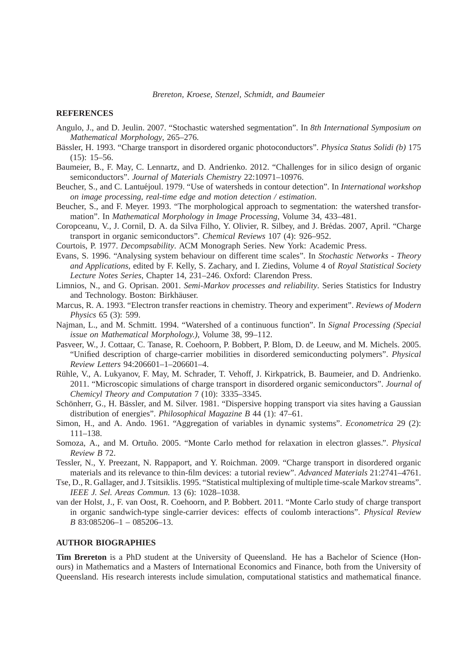#### **REFERENCES**

- <span id="page-10-17"></span>Angulo, J., and D. Jeulin. 2007. "Stochastic watershed segmentation". In *8th International Symposium on Mathematical Morphology*, 265–276.
- <span id="page-10-4"></span>Bässler, H. 1993. "Charge transport in disordered organic photoconductors". *Physica Status Solidi (b)* 175 (15): 15–56.
- <span id="page-10-2"></span>Baumeier, B., F. May, C. Lennartz, and D. Andrienko. 2012. "Challenges for in silico design of organic semiconductors". *Journal of Materials Chemistry* 22:10971–10976.
- <span id="page-10-15"></span>Beucher, S., and C. Lantuéjoul. 1979. "Use of watersheds in contour detection". In *International workshop on image processing, real-time edge and motion detection / estimation*.
- <span id="page-10-14"></span>Beucher, S., and F. Meyer. 1993. "The morphological approach to segmentation: the watershed transformation". In *Mathematical Morphology in Image Processing*, Volume 34, 433–481.
- <span id="page-10-13"></span>Coropceanu, V., J. Cornil, D. A. da Silva Filho, Y. Olivier, R. Silbey, and J. Brédas. 2007, April. "Charge transport in organic semiconductors". *Chemical Reviews* 107 (4): 926–952.
- <span id="page-10-7"></span>Courtois, P. 1977. *Decompsability*. ACM Monograph Series. New York: Academic Press.
- <span id="page-10-9"></span>Evans, S. 1996. "Analysing system behaviour on different time scales". In *Stochastic Networks - Theory and Applications*, edited by F. Kelly, S. Zachary, and I. Ziedins, Volume 4 of *Royal Statistical Society Lecture Notes Series*, Chapter 14, 231–246. Oxford: Clarendon Press.
- <span id="page-10-18"></span>Limnios, N., and G. Oprisan. 2001. *Semi-Markov processes and reliability*. Series Statistics for Industry and Technology. Boston: Birkhäuser.
- <span id="page-10-12"></span>Marcus, R. A. 1993. "Electron transfer reactions in chemistry. Theory and experiment". *Reviews of Modern Physics* 65 (3): 599.
- <span id="page-10-16"></span>Najman, L., and M. Schmitt. 1994. "Watershed of a continuous function". In *Signal Processing (Special issue on Mathematical Morphology.)*, Volume 38, 99–112.
- <span id="page-10-1"></span>Pasveer, W., J. Cottaar, C. Tanase, R. Coehoorn, P. Bobbert, P. Blom, D. de Leeuw, and M. Michels. 2005. "Unified description of charge-carrier mobilities in disordered semiconducting polymers". *Physical Review Letters* 94:206601–1–206601–4.
- <span id="page-10-0"></span>Rühle, V., A. Lukyanov, F. May, M. Schrader, T. Vehoff, J. Kirkpatrick, B. Baumeier, and D. Andrienko. 2011. "Microscopic simulations of charge transport in disordered organic semiconductors". *Journal of Chemicyl Theory and Computation* 7 (10): 3335–3345.
- <span id="page-10-3"></span>Schönherr, G., H. Bässler, and M. Silver. 1981. "Dispersive hopping transport via sites having a Gaussian distribution of energies". *Philosophical Magazine B* 44 (1): 47–61.
- <span id="page-10-8"></span>Simon, H., and A. Ando. 1961. "Aggregation of variables in dynamic systems". *Econometrica* 29 (2): 111–138.
- <span id="page-10-11"></span>Somoza, A., and M. Ortuño. 2005. "Monte Carlo method for relaxation in electron glasses.". *Physical Review B* 72.
- <span id="page-10-5"></span>Tessler, N., Y. Preezant, N. Rappaport, and Y. Roichman. 2009. "Charge transport in disordered organic materials and its relevance to thin-film devices: a tutorial review". *Advanced Materials* 21:2741–4761.
- <span id="page-10-10"></span>Tse, D., R. Gallager, and J. Tsitsiklis. 1995. "Statistical multiplexing of multiple time-scale Markov streams". *IEEE J. Sel. Areas Commun.* 13 (6): 1028–1038.
- <span id="page-10-6"></span>van der Holst, J., F. van Oost, R. Coehoorn, and P. Bobbert. 2011. "Monte Carlo study of charge transport in organic sandwich-type single-carrier devices: effects of coulomb interactions". *Physical Review B* 83:085206–1 – 085206–13.

# **AUTHOR BIOGRAPHIES**

**Tim Brereton** is a PhD student at the University of Queensland. He has a Bachelor of Science (Honours) in Mathematics and a Masters of International Economics and Finance, both from the University of Queensland. His research interests include simulation, computational statistics and mathematical finance.